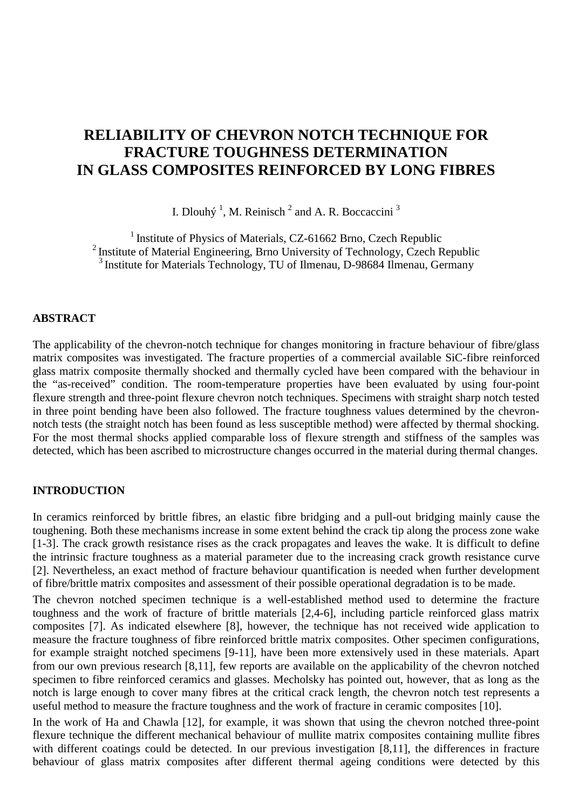# **RELIABILITY OF CHEVRON NOTCH TECHNIQUE FOR FRACTURE TOUGHNESS DETERMINATION IN GLASS COMPOSITES REINFORCED BY LONG FIBRES**

I. Dlouhý<sup>1</sup>, M. Reinisch<sup>2</sup> and A. R. Boccaccini<sup>3</sup>

<sup>1</sup> Institute of Physics of Materials, CZ-61662 Brno, Czech Republic <sup>2</sup> Institute of Material Engineering, Brno University of Technology, Czech Republic <sup>3</sup> Institute for Materials Technology, TU of Ilmenau, D-98684 Ilmenau, Germany

#### **ABSTRACT**

The applicability of the chevron-notch technique for changes monitoring in fracture behaviour of fibre/glass matrix composites was investigated. The fracture properties of a commercial available SiC-fibre reinforced glass matrix composite thermally shocked and thermally cycled have been compared with the behaviour in the "as-received" condition. The room-temperature properties have been evaluated by using four-point flexure strength and three-point flexure chevron notch techniques. Specimens with straight sharp notch tested in three point bending have been also followed. The fracture toughness values determined by the chevronnotch tests (the straight notch has been found as less susceptible method) were affected by thermal shocking. For the most thermal shocks applied comparable loss of flexure strength and stiffness of the samples was detected, which has been ascribed to microstructure changes occurred in the material during thermal changes.

## **INTRODUCTION**

In ceramics reinforced by brittle fibres, an elastic fibre bridging and a pull-out bridging mainly cause the toughening. Both these mechanisms increase in some extent behind the crack tip along the process zone wake [1-3]. The crack growth resistance rises as the crack propagates and leaves the wake. It is difficult to define the intrinsic fracture toughness as a material parameter due to the increasing crack growth resistance curve [2]. Nevertheless, an exact method of fracture behaviour quantification is needed when further development of fibre/brittle matrix composites and assessment of their possible operational degradation is to be made.

The chevron notched specimen technique is a well-established method used to determine the fracture toughness and the work of fracture of brittle materials [2,4-6], including particle reinforced glass matrix composites [7]. As indicated elsewhere [8], however, the technique has not received wide application to measure the fracture toughness of fibre reinforced brittle matrix composites. Other specimen configurations, for example straight notched specimens [9-11], have been more extensively used in these materials. Apart from our own previous research [8,11], few reports are available on the applicability of the chevron notched specimen to fibre reinforced ceramics and glasses. Mecholsky has pointed out, however, that as long as the notch is large enough to cover many fibres at the critical crack length, the chevron notch test represents a useful method to measure the fracture toughness and the work of fracture in ceramic composites [10].

In the work of Ha and Chawla [12], for example, it was shown that using the chevron notched three-point flexure technique the different mechanical behaviour of mullite matrix composites containing mullite fibres with different coatings could be detected. In our previous investigation [8,11], the differences in fracture behaviour of glass matrix composites after different thermal ageing conditions were detected by this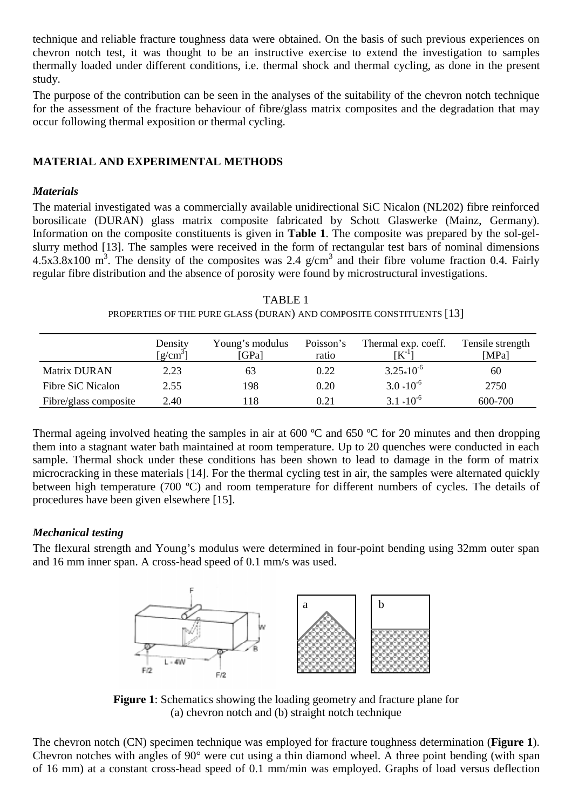technique and reliable fracture toughness data were obtained. On the basis of such previous experiences on chevron notch test, it was thought to be an instructive exercise to extend the investigation to samples thermally loaded under different conditions, i.e. thermal shock and thermal cycling, as done in the present study.

The purpose of the contribution can be seen in the analyses of the suitability of the chevron notch technique for the assessment of the fracture behaviour of fibre/glass matrix composites and the degradation that may occur following thermal exposition or thermal cycling.

# **MATERIAL AND EXPERIMENTAL METHODS**

## *Materials*

The material investigated was a commercially available unidirectional SiC Nicalon (NL202) fibre reinforced borosilicate (DURAN) glass matrix composite fabricated by Schott Glaswerke (Mainz, Germany). Information on the composite constituents is given in **Table 1**. The composite was prepared by the sol-gelslurry method [13]. The samples were received in the form of rectangular test bars of nominal dimensions  $4.5x3.8x100$  m<sup>3</sup>. The density of the composites was 2.4 g/cm<sup>3</sup> and their fibre volume fraction 0.4. Fairly regular fibre distribution and the absence of porosity were found by microstructural investigations.

| The EXTREME OF THE FUND OF THE LORD (DURING THE COMPOSITE CONDITIONATION   IV |                       |                          |                    |                            |                           |  |  |
|-------------------------------------------------------------------------------|-----------------------|--------------------------|--------------------|----------------------------|---------------------------|--|--|
|                                                                               | Density<br>$[g/cm^3]$ | Young's modulus<br>[GPa] | Poisson's<br>ratio | Thermal exp. coeff.<br>[K] | Tensile strength<br>[MPa] |  |  |
| <b>Matrix DURAN</b>                                                           | 2.23                  | 63                       | 0.22               | $3.25*10^{-6}$             | 60                        |  |  |
| Fibre SiC Nicalon                                                             | 2.55                  | 198                      | 0.20               | $3.0*10^{-6}$              | 2750                      |  |  |
| Fibre/glass composite                                                         | 2.40                  | 118                      | 0.21               | $3.1*10^{-6}$              | 600-700                   |  |  |

TABLE 1 PROPERTIES OF THE PURE GLASS (DURAN) AND COMPOSITE CONSTITUENTS [13]

Thermal ageing involved heating the samples in air at 600 °C and 650 °C for 20 minutes and then dropping them into a stagnant water bath maintained at room temperature. Up to 20 quenches were conducted in each sample. Thermal shock under these conditions has been shown to lead to damage in the form of matrix microcracking in these materials [14]. For the thermal cycling test in air, the samples were alternated quickly between high temperature (700 ºC) and room temperature for different numbers of cycles. The details of procedures have been given elsewhere [15].

## *Mechanical testing*

The flexural strength and Young's modulus were determined in four-point bending using 32mm outer span and 16 mm inner span. A cross-head speed of 0.1 mm/s was used.



**Figure 1**: Schematics showing the loading geometry and fracture plane for (a) chevron notch and (b) straight notch technique

The chevron notch (CN) specimen technique was employed for fracture toughness determination (**Figure 1**). Chevron notches with angles of 90° were cut using a thin diamond wheel. A three point bending (with span of 16 mm) at a constant cross-head speed of 0.1 mm/min was employed. Graphs of load versus deflection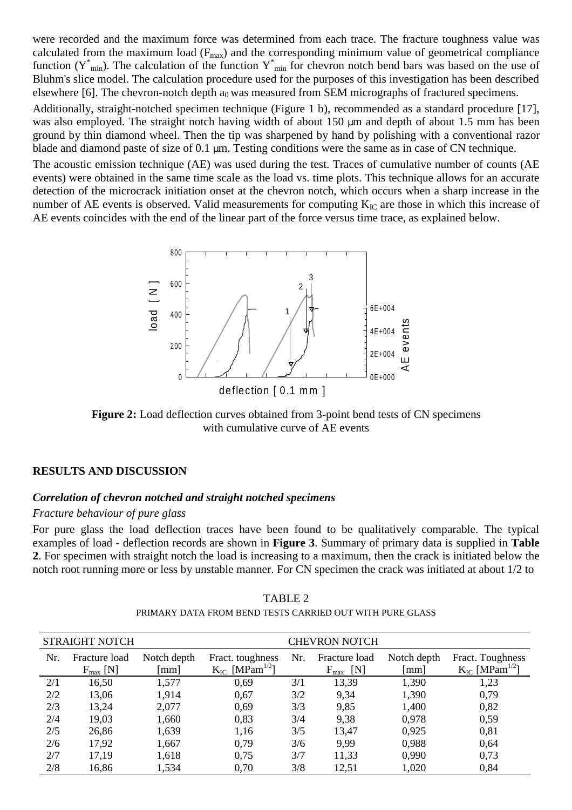were recorded and the maximum force was determined from each trace. The fracture toughness value was calculated from the maximum load  $(F_{max})$  and the corresponding minimum value of geometrical compliance function  $(Y^*_{min})$ . The calculation of the function  $Y^*_{min}$  for chevron notch bend bars was based on the use of Bluhm's slice model. The calculation procedure used for the purposes of this investigation has been described elsewhere [6]. The chevron-notch depth  $a_0$  was measured from SEM micrographs of fractured specimens.

Additionally, straight-notched specimen technique (Figure 1 b), recommended as a standard procedure [17], was also employed. The straight notch having width of about 150  $\mu$ m and depth of about 1.5 mm has been ground by thin diamond wheel. Then the tip was sharpened by hand by polishing with a conventional razor blade and diamond paste of size of 0.1  $\mu$ m. Testing conditions were the same as in case of CN technique.

The acoustic emission technique (AE) was used during the test. Traces of cumulative number of counts (AE) events) were obtained in the same time scale as the load vs. time plots. This technique allows for an accurate detection of the microcrack initiation onset at the chevron notch, which occurs when a sharp increase in the number of AE events is observed. Valid measurements for computing  $K_{IC}$  are those in which this increase of AE events coincides with the end of the linear part of the force versus time trace, as explained below.



**Figure 2:** Load deflection curves obtained from 3-point bend tests of CN specimens with cumulative curve of AE events

#### **RESULTS AND DISCUSSION**

### *Correlation of chevron notched and straight notched specimens*

#### *Fracture behaviour of pure glass*

For pure glass the load deflection traces have been found to be qualitatively comparable. The typical examples of load - deflection records are shown in **Figure 3**. Summary of primary data is supplied in **Table 2**. For specimen with straight notch the load is increasing to a maximum, then the crack is initiated below the notch root running more or less by unstable manner. For CN specimen the crack was initiated at about 1/2 to

|     | <b>STRAIGHT NOTCH</b><br><b>CHEVRON NOTCH</b> |             |                                 |     |                         |             |                                 |
|-----|-----------------------------------------------|-------------|---------------------------------|-----|-------------------------|-------------|---------------------------------|
| Nr. | Fracture load                                 | Notch depth | Fract. toughness                | Nr. | Fracture load           | Notch depth | Fract. Toughness                |
|     | $F_{\text{max}}$ [N]                          | [mm]        | $K_{IC}$ [MPam <sup>1/2</sup> ] |     | $F_{\text{max}}$<br>[N] | [mm]        | $K_{IC}$ [MPam <sup>1/2</sup> ] |
| 2/1 | 16,50                                         | 1,577       | 0,69                            | 3/1 | 13,39                   | 1,390       | 1,23                            |
| 2/2 | 13,06                                         | 1,914       | 0,67                            | 3/2 | 9,34                    | 1,390       | 0,79                            |
| 2/3 | 13,24                                         | 2,077       | 0,69                            | 3/3 | 9,85                    | 1,400       | 0,82                            |
| 2/4 | 19,03                                         | 1,660       | 0,83                            | 3/4 | 9,38                    | 0,978       | 0.59                            |
| 2/5 | 26,86                                         | 1,639       | 1,16                            | 3/5 | 13,47                   | 0,925       | 0,81                            |
| 2/6 | 17,92                                         | 1,667       | 0,79                            | 3/6 | 9.99                    | 0,988       | 0,64                            |
| 2/7 | 17,19                                         | 1,618       | 0,75                            | 3/7 | 11,33                   | 0.990       | 0,73                            |
| 2/8 | 16,86                                         | 1,534       | 0,70                            | 3/8 | 12,51                   | 1,020       | 0,84                            |

TABLE 2 PRIMARY DATA FROM BEND TESTS CARRIED OUT WITH PURE GLASS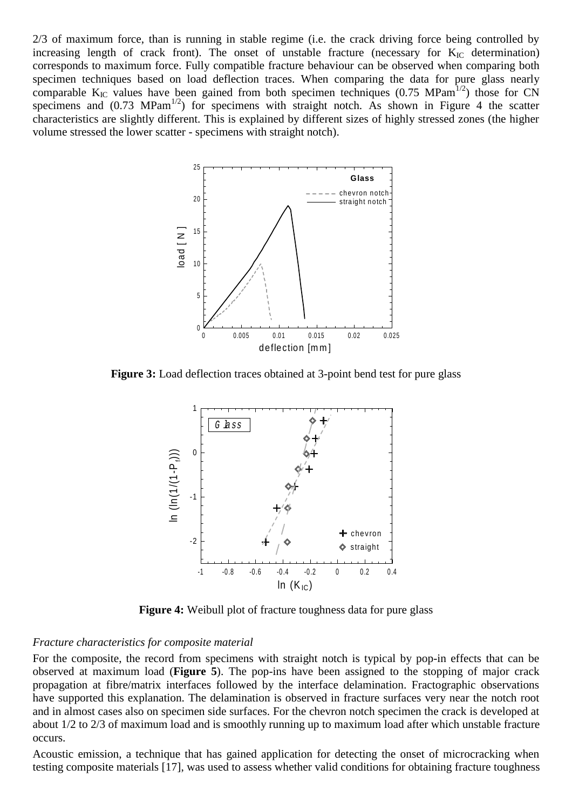2/3 of maximum force, than is running in stable regime (i.e. the crack driving force being controlled by increasing length of crack front). The onset of unstable fracture (necessary for  $K_{\text{IC}}$  determination) corresponds to maximum force. Fully compatible fracture behaviour can be observed when comparing both specimen techniques based on load deflection traces. When comparing the data for pure glass nearly comparable  $K_{IC}$  values have been gained from both specimen techniques (0.75 MPam<sup>1/2</sup>) those for CN specimens and  $(0.73 \text{ MPam}^{1/2})$  for specimens with straight notch. As shown in Figure 4 the scatter characteristics are slightly different. This is explained by different sizes of highly stressed zones (the higher volume stressed the lower scatter - specimens with straight notch).



**Figure 3:** Load deflection traces obtained at 3-point bend test for pure glass



**Figure 4:** Weibull plot of fracture toughness data for pure glass

#### *Fracture characteristics for composite material*

For the composite, the record from specimens with straight notch is typical by pop-in effects that can be observed at maximum load (**Figure 5**). The pop-ins have been assigned to the stopping of major crack propagation at fibre/matrix interfaces followed by the interface delamination. Fractographic observations have supported this explanation. The delamination is observed in fracture surfaces very near the notch root and in almost cases also on specimen side surfaces. For the chevron notch specimen the crack is developed at about 1/2 to 2/3 of maximum load and is smoothly running up to maximum load after which unstable fracture occurs.

Acoustic emission, a technique that has gained application for detecting the onset of microcracking when testing composite materials [17], was used to assess whether valid conditions for obtaining fracture toughness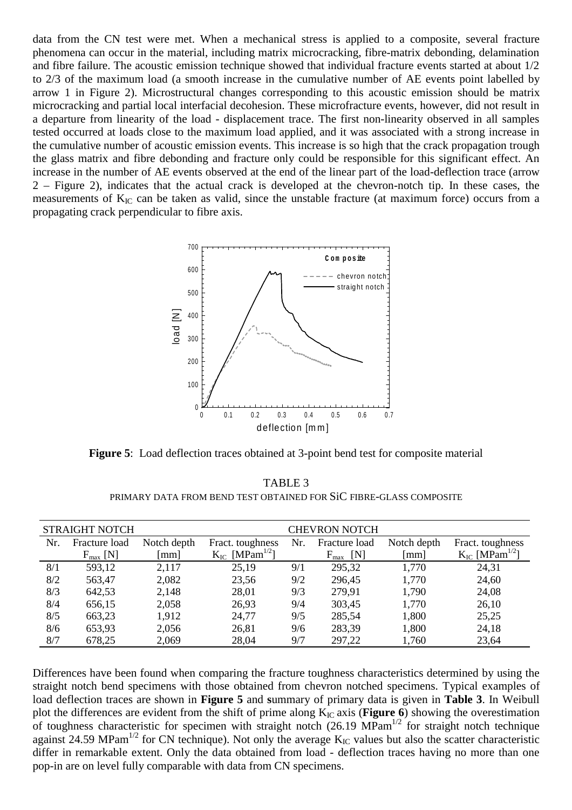data from the CN test were met. When a mechanical stress is applied to a composite, several fracture phenomena can occur in the material, including matrix microcracking, fibre-matrix debonding, delamination and fibre failure. The acoustic emission technique showed that individual fracture events started at about 1/2 to 2/3 of the maximum load (a smooth increase in the cumulative number of AE events point labelled by arrow 1 in Figure 2). Microstructural changes corresponding to this acoustic emission should be matrix microcracking and partial local interfacial decohesion. These microfracture events, however, did not result in a departure from linearity of the load - displacement trace. The first non-linearity observed in all samples tested occurred at loads close to the maximum load applied, and it was associated with a strong increase in the cumulative number of acoustic emission events. This increase is so high that the crack propagation trough the glass matrix and fibre debonding and fracture only could be responsible for this significant effect. An increase in the number of AE events observed at the end of the linear part of the load-deflection trace (arrow 2 – Figure 2), indicates that the actual crack is developed at the chevron-notch tip. In these cases, the measurements of  $K_{IC}$  can be taken as valid, since the unstable fracture (at maximum force) occurs from a propagating crack perpendicular to fibre axis.



**Figure 5**: Load deflection traces obtained at 3-point bend test for composite material

TABLE 3 PRIMARY DATA FROM BEND TEST OBTAINED FOR SiC FIBRE-GLASS COMPOSITE

| <b>STRAIGHT NOTCH</b> |                      |                      |                                        | <b>CHEVRON NOTCH</b> |                      |                      |                                        |
|-----------------------|----------------------|----------------------|----------------------------------------|----------------------|----------------------|----------------------|----------------------------------------|
| Nr.                   | Fracture load        | Notch depth          | Fract. toughness                       | Nr.                  | Fracture load        | Notch depth          | Fract. toughness                       |
|                       | $F_{\text{max}}$ [N] | $\lceil$ mm $\rceil$ | $K_{\text{IC}}$ [MPam <sup>1/2</sup> ] |                      | $F_{\text{max}}$ [N] | $\lceil$ mm $\rceil$ | $K_{\text{IC}}$ [MPam <sup>1/2</sup> ] |
| 8/1                   | 593,12               | 2,117                | 25,19                                  | 9/1                  | 295,32               | 1,770                | 24,31                                  |
| 8/2                   | 563,47               | 2,082                | 23,56                                  | 9/2                  | 296,45               | 1,770                | 24,60                                  |
| 8/3                   | 642,53               | 2,148                | 28,01                                  | 9/3                  | 279,91               | 1,790                | 24,08                                  |
| 8/4                   | 656,15               | 2,058                | 26,93                                  | 9/4                  | 303,45               | 1,770                | 26,10                                  |
| 8/5                   | 663,23               | 1,912                | 24,77                                  | 9/5                  | 285,54               | 1,800                | 25,25                                  |
| 8/6                   | 653,93               | 2,056                | 26,81                                  | 9/6                  | 283,39               | 1,800                | 24,18                                  |
| 8/7                   | 678,25               | 2,069                | 28,04                                  | 9/7                  | 297,22               | 1,760                | 23,64                                  |

Differences have been found when comparing the fracture toughness characteristics determined by using the straight notch bend specimens with those obtained from chevron notched specimens. Typical examples of load deflection traces are shown in **Figure 5** and summary of primary data is given in **Table 3**. In Weibull plot the differences are evident from the shift of prime along  $K_{IC}$  axis (**Figure 6**) showing the overestimation of toughness characteristic for specimen with straight notch (26.19 MPam1/2 for straight notch technique against 24.59 MPam<sup>1/2</sup> for CN technique). Not only the average  $K_{IC}$  values but also the scatter characteristic differ in remarkable extent. Only the data obtained from load - deflection traces having no more than one pop-in are on level fully comparable with data from CN specimens.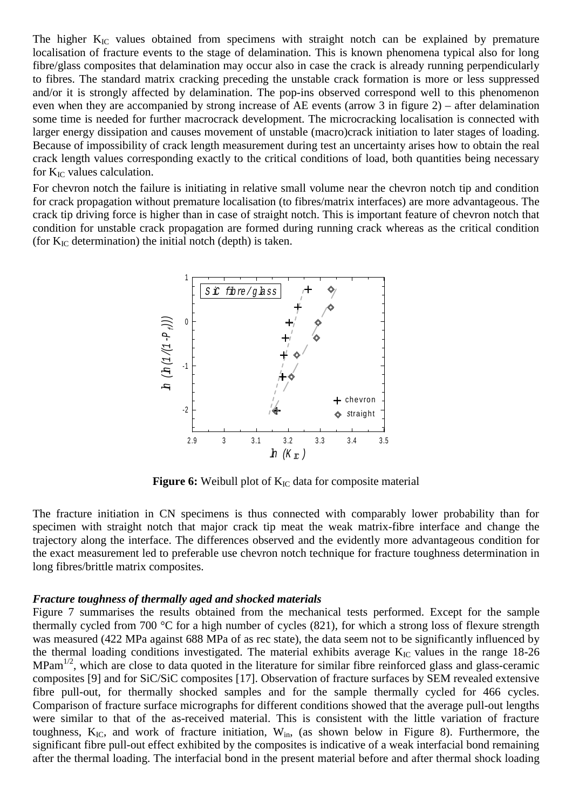The higher  $K_{IC}$  values obtained from specimens with straight notch can be explained by premature localisation of fracture events to the stage of delamination. This is known phenomena typical also for long fibre/glass composites that delamination may occur also in case the crack is already running perpendicularly to fibres. The standard matrix cracking preceding the unstable crack formation is more or less suppressed and/or it is strongly affected by delamination. The pop-ins observed correspond well to this phenomenon even when they are accompanied by strong increase of AE events (arrow 3 in figure 2) – after delamination some time is needed for further macrocrack development. The microcracking localisation is connected with larger energy dissipation and causes movement of unstable (macro)crack initiation to later stages of loading. Because of impossibility of crack length measurement during test an uncertainty arises how to obtain the real crack length values corresponding exactly to the critical conditions of load, both quantities being necessary for  $K_{IC}$  values calculation.

For chevron notch the failure is initiating in relative small volume near the chevron notch tip and condition for crack propagation without premature localisation (to fibres/matrix interfaces) are more advantageous. The crack tip driving force is higher than in case of straight notch. This is important feature of chevron notch that condition for unstable crack propagation are formed during running crack whereas as the critical condition (for  $K_{IC}$  determination) the initial notch (depth) is taken.



**Figure 6:** Weibull plot of K<sub>IC</sub> data for composite material

The fracture initiation in CN specimens is thus connected with comparably lower probability than for specimen with straight notch that major crack tip meat the weak matrix-fibre interface and change the trajectory along the interface. The differences observed and the evidently more advantageous condition for the exact measurement led to preferable use chevron notch technique for fracture toughness determination in long fibres/brittle matrix composites.

#### *Fracture toughness of thermally aged and shocked materials*

Figure 7 summarises the results obtained from the mechanical tests performed. Except for the sample thermally cycled from 700 °C for a high number of cycles (821), for which a strong loss of flexure strength was measured (422 MPa against 688 MPa of as rec state), the data seem not to be significantly influenced by the thermal loading conditions investigated. The material exhibits average  $K_{IC}$  values in the range 18-26  $MPam<sup>1/2</sup>$ , which are close to data quoted in the literature for similar fibre reinforced glass and glass-ceramic composites [9] and for SiC/SiC composites [17]. Observation of fracture surfaces by SEM revealed extensive fibre pull-out, for thermally shocked samples and for the sample thermally cycled for 466 cycles. Comparison of fracture surface micrographs for different conditions showed that the average pull-out lengths were similar to that of the as-received material. This is consistent with the little variation of fracture toughness,  $K_{IC}$ , and work of fracture initiation,  $W_{in}$ , (as shown below in Figure 8). Furthermore, the significant fibre pull-out effect exhibited by the composites is indicative of a weak interfacial bond remaining after the thermal loading. The interfacial bond in the present material before and after thermal shock loading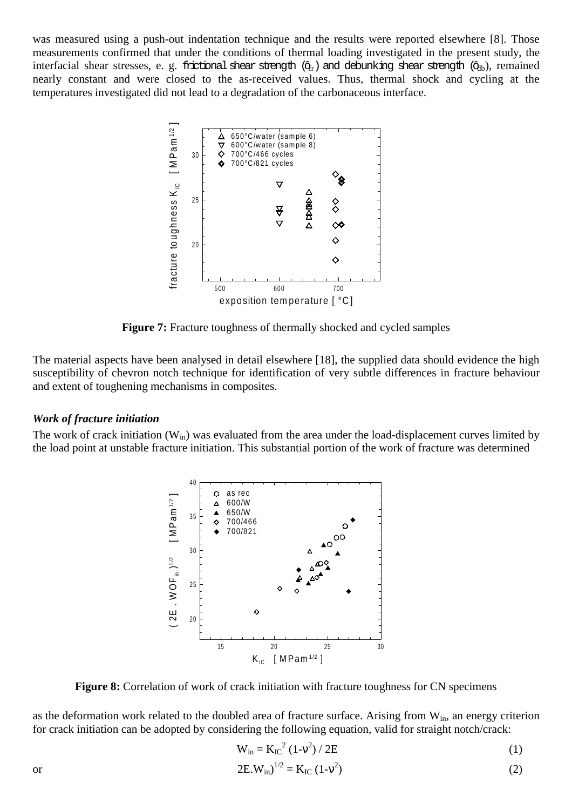was measured using a push-out indentation technique and the results were reported elsewhere [8]. Those measurements confirmed that under the conditions of thermal loading investigated in the present study, the interfacial shear stresses, e. g. frictional shear strength  $(\hat{q}_r)$  and debunking shear strength  $(\hat{q}_b)$ , remained nearly constant and were closed to the as-received values. Thus, thermal shock and cycling at the temperatures investigated did not lead to a degradation of the carbonaceous interface.



**Figure 7:** Fracture toughness of thermally shocked and cycled samples

The material aspects have been analysed in detail elsewhere [18], the supplied data should evidence the high susceptibility of chevron notch technique for identification of very subtle differences in fracture behaviour and extent of toughening mechanisms in composites.

#### *Work of fracture initiation*

The work of crack initiation  $(W_{in})$  was evaluated from the area under the load-displacement curves limited by the load point at unstable fracture initiation. This substantial portion of the work of fracture was determined



**Figure 8:** Correlation of work of crack initiation with fracture toughness for CN specimens

as the deformation work related to the doubled area of fracture surface. Arising from W<sub>in</sub>, an energy criterion for crack initiation can be adopted by considering the following equation, valid for straight notch/crack:

$$
W_{in} = K_{IC}^{2} (1 - v^{2}) / 2E
$$
 (1)

or 
$$
2E.W_{in})^{1/2} = K_{IC} (1 - v^2)
$$
 (2)